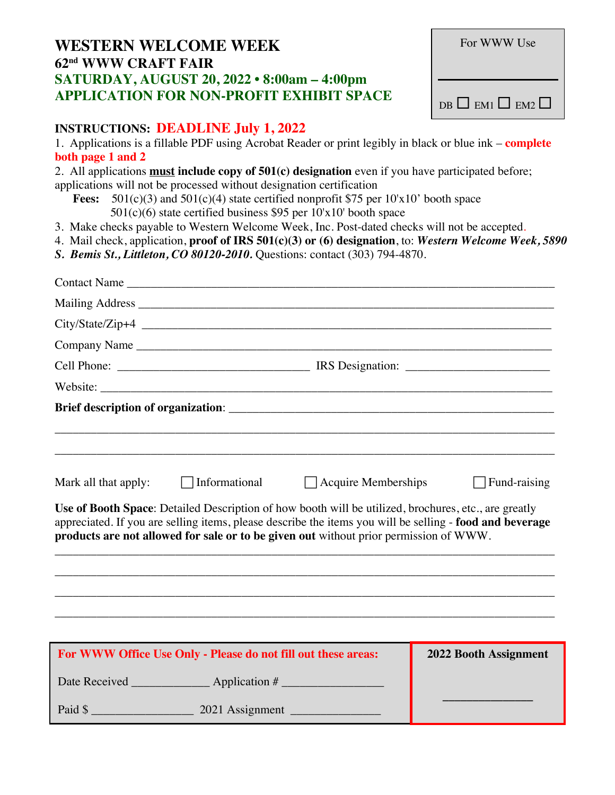## **WESTERN WELCOME WEEK 62nd WWW CRAFT FAIR SATURDAY, AUGUST 20, 2022 • 8:00am – 4:00pm APPLICATION FOR NON-PROFIT EXHIBIT SPACE**

| For WWW Use                     |  |  |
|---------------------------------|--|--|
| $DB \Box$ EM1 $\Box$ EM2 $\Box$ |  |  |

## **INSTRUCTIONS: DEADLINE July 1, 2022**

1. Applications is a fillable PDF using Acrobat Reader or print legibly in black or blue ink – **complete both page 1 and 2**

2. All applications **must include copy of 501(c) designation** even if you have participated before;

applications will not be processed without designation certification

**Fees:** 501(c)(3) and 501(c)(4) state certified nonprofit \$75 per 10'x10' booth space 501(c)(6) state certified business \$95 per 10'x10' booth space

3. Make checks payable to Western Welcome Week, Inc. Post-dated checks will not be accepted.

- 4. Mail check, application, **proof of IRS 501(c)(3) or (6) designation**, to: *Western Welcome Week, 5890*
- *S. Bemis St., Littleton, CO 80120-2010.* Questions: contact (303) 794-4870.

|                      | Contact Name                                                                                                                                                                                                                                                                                                                                                    |                              |
|----------------------|-----------------------------------------------------------------------------------------------------------------------------------------------------------------------------------------------------------------------------------------------------------------------------------------------------------------------------------------------------------------|------------------------------|
|                      |                                                                                                                                                                                                                                                                                                                                                                 |                              |
|                      |                                                                                                                                                                                                                                                                                                                                                                 |                              |
|                      | Company Name                                                                                                                                                                                                                                                                                                                                                    |                              |
|                      |                                                                                                                                                                                                                                                                                                                                                                 |                              |
|                      |                                                                                                                                                                                                                                                                                                                                                                 |                              |
| Mark all that apply: | $\Box$ Informational<br>$\Box$ Acquire Memberships<br>Use of Booth Space: Detailed Description of how booth will be utilized, brochures, etc., are greatly<br>appreciated. If you are selling items, please describe the items you will be selling - food and beverage<br>products are not allowed for sale or to be given out without prior permission of WWW. | $\Box$ Fund-raising          |
|                      |                                                                                                                                                                                                                                                                                                                                                                 |                              |
|                      |                                                                                                                                                                                                                                                                                                                                                                 |                              |
|                      |                                                                                                                                                                                                                                                                                                                                                                 |                              |
|                      | For WWW Office Use Only - Please do not fill out these areas:                                                                                                                                                                                                                                                                                                   | <b>2022 Booth Assignment</b> |
|                      |                                                                                                                                                                                                                                                                                                                                                                 |                              |
|                      |                                                                                                                                                                                                                                                                                                                                                                 |                              |